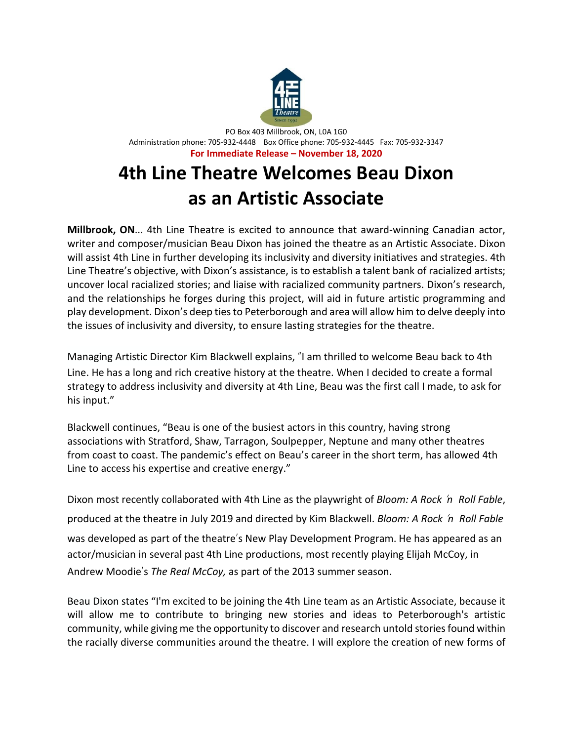

PO Box 403 Millbrook, ON, L0A 1G0 Administration phone: 705-932-4448 Box Office phone: 705-932-4445 Fax: 705-932-3347 **For Immediate Release – November 18, 2020**

# **4th Line Theatre Welcomes Beau Dixon as an Artistic Associate**

**Millbrook, ON**... 4th Line Theatre is excited to announce that award-winning Canadian actor, writer and composer/musician Beau Dixon has joined the theatre as an Artistic Associate. Dixon will assist 4th Line in further developing its inclusivity and diversity initiatives and strategies. 4th Line Theatre's objective, with Dixon's assistance, is to establish a talent bank of racialized artists; uncover local racialized stories; and liaise with racialized community partners. Dixon's research, and the relationships he forges during this project, will aid in future artistic programming and play development. Dixon's deep tiesto Peterborough and area will allow him to delve deeply into the issues of inclusivity and diversity, to ensure lasting strategies for the theatre.

Managing Artistic Director Kim Blackwell explains, "I am thrilled to welcome Beau back to 4th Line. He has a long and rich creative history at the theatre. When I decided to create a formal strategy to address inclusivity and diversity at 4th Line, Beau was the first call I made, to ask for his input."

Blackwell continues, "Beau is one of the busiest actors in this country, having strong associations with Stratford, Shaw, Tarragon, Soulpepper, Neptune and many other theatres from coast to coast. The pandemic's effect on Beau's career in the short term, has allowed 4th Line to access his expertise and creative energy."

Dixon most recently collaborated with 4th Line as the playwright of *Bloom: A Rock* '*n Roll Fable*, produced at the theatre in July 2019 and directed by Kim Blackwell. *Bloom: A Rock* '*n Roll Fable* was developed as part of the theatre's New Play Development Program. He has appeared as an actor/musician in several past 4th Line productions, most recently playing Elijah McCoy, in Andrew Moodie's *The Real McCoy,* as part of the 2013 summer season.

Beau Dixon states "I'm excited to be joining the 4th Line team as an Artistic Associate, because it will allow me to contribute to bringing new stories and ideas to Peterborough's artistic community, while giving me the opportunity to discover and research untold storiesfound within the racially diverse communities around the theatre. I will explore the creation of new forms of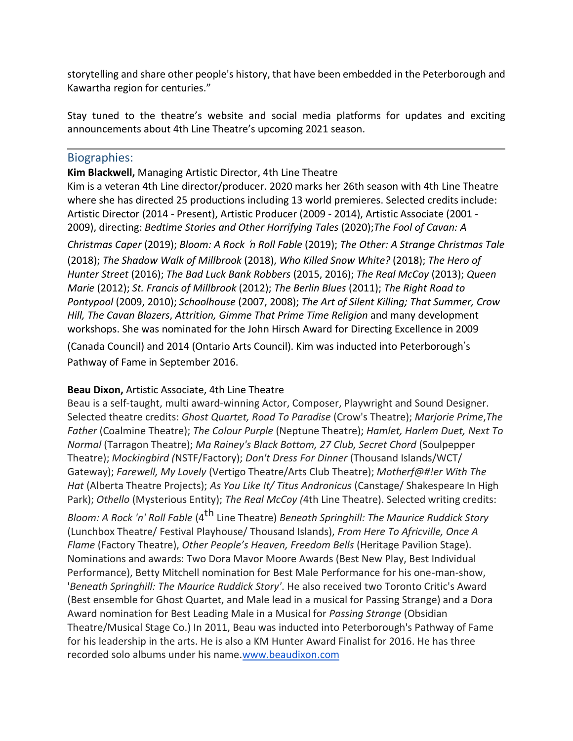storytelling and share other people's history, that have been embedded in the Peterborough and Kawartha region for centuries."

Stay tuned to the theatre's website and social media platforms for updates and exciting announcements about 4th Line Theatre's upcoming 2021 season.

### Biographies:

#### **Kim Blackwell,** Managing Artistic Director, 4th Line Theatre

Kim is a veteran 4th Line director/producer. 2020 marks her 26th season with 4th Line Theatre where she has directed 25 productions including 13 world premieres. Selected credits include: Artistic Director (2014 - Present), Artistic Producer (2009 - 2014), Artistic Associate (2001 - 2009), directing: *Bedtime Stories and Other Horrifying Tales* (2020);*The Fool of Cavan: A*

*Christmas Caper* (2019); *Bloom: A Rock* '*n Roll Fable* (2019); *The Other: A Strange Christmas Tale* (2018); *The Shadow Walk of Millbrook* (2018), *Who Killed Snow White?* (2018); *The Hero of Hunter Street* (2016); *The Bad Luck Bank Robbers* (2015, 2016); *The Real McCoy* (2013); *Queen Marie* (2012); *St. Francis of Millbrook* (2012); *The Berlin Blues* (2011); *The Right Road to Pontypool* (2009, 2010); *Schoolhouse* (2007, 2008); *The Art of Silent Killing; That Summer, Crow Hill, The Cavan Blazers*, *Attrition, Gimme That Prime Time Religion* and many development workshops. She was nominated for the John Hirsch Award for Directing Excellence in 2009

(Canada Council) and 2014 (Ontario Arts Council). Kim was inducted into Peterborough's Pathway of Fame in September 2016.

#### **Beau Dixon,** Artistic Associate, 4th Line Theatre

Beau is a self-taught, multi award-winning Actor, Composer, Playwright and Sound Designer. Selected theatre credits: *Ghost Quartet, Road To Paradise* (Crow's Theatre); *Marjorie Prime*,*The Father* (Coalmine Theatre); *The Colour Purple* (Neptune Theatre); *Hamlet, Harlem Duet, Next To Normal* (Tarragon Theatre); *Ma Rainey's Black Bottom, 27 Club, Secret Chord* (Soulpepper Theatre); *Mockingbird (*NSTF/Factory); *Don't Dress For Dinner* (Thousand Islands/WCT/ Gateway); *Farewell, My Lovely* (Vertigo Theatre/Arts Club Theatre); *Motherf@#!er With The Hat* (Alberta Theatre Projects); *As You Like It/ Titus Andronicus* (Canstage/ Shakespeare In High Park); *Othello* (Mysterious Entity); *The Real McCoy (*4th Line Theatre). Selected writing credits:

*Bloom: A Rock 'n' Roll Fable* (4th Line Theatre) *Beneath Springhill: The Maurice Ruddick Story*  (Lunchbox Theatre/ Festival Playhouse/ Thousand Islands), *From Here To Africville, Once A Flame* (Factory Theatre), *Other People's Heaven, Freedom Bells* (Heritage Pavilion Stage). Nominations and awards: Two Dora Mavor Moore Awards (Best New Play, Best Individual Performance), Betty Mitchell nomination for Best Male Performance for his one-man-show, '*Beneath Springhill: The Maurice Ruddick Story'*. He also received two Toronto Critic's Award (Best ensemble for Ghost Quartet, and Male lead in a musical for Passing Strange) and a Dora Award nomination for Best Leading Male in a Musical for *Passing Strange* (Obsidian Theatre/Musical Stage Co.) In 2011, Beau was inducted into Peterborough's Pathway of Fame for his leadership in the arts. He is also a KM Hunter Award Finalist for 2016. He has three recorded solo albums under his name[.www.beaudixon.com](http://www.beaudixon.com/)